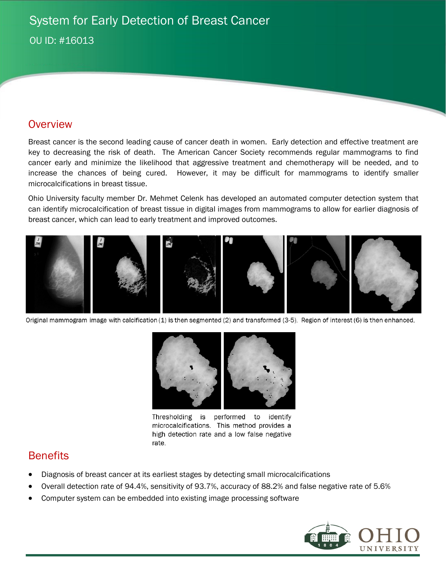## **Overview**

Breast cancer is the second leading cause of cancer death in women. Early detection and effective treatment are key to decreasing the risk of death. The American Cancer Society recommends regular mammograms to find cancer early and minimize the likelihood that aggressive treatment and chemotherapy will be needed, and to increase the chances of being cured. However, it may be difficult for mammograms to identify smaller microcalcifications in breast tissue.

Ohio University faculty member Dr. Mehmet Celenk has developed an automated computer detection system that can identify microcalcification of breast tissue in digital images from mammograms to allow for earlier diagnosis of breast cancer, which can lead to early treatment and improved outcomes.



Original mammogram image with calcification (1) is then segmented (2) and transformed (3-5). Region of interest (6) is then enhanced.



Thresholding is performed to identify microcalcifications. This method provides a high detection rate and a low false negative rate.

## **Benefits**

- Diagnosis of breast cancer at its earliest stages by detecting small microcalcifications
- Overall detection rate of 94.4%, sensitivity of 93.7%, accuracy of 88.2% and false negative rate of 5.6%
- Computer system can be embedded into existing image processing software